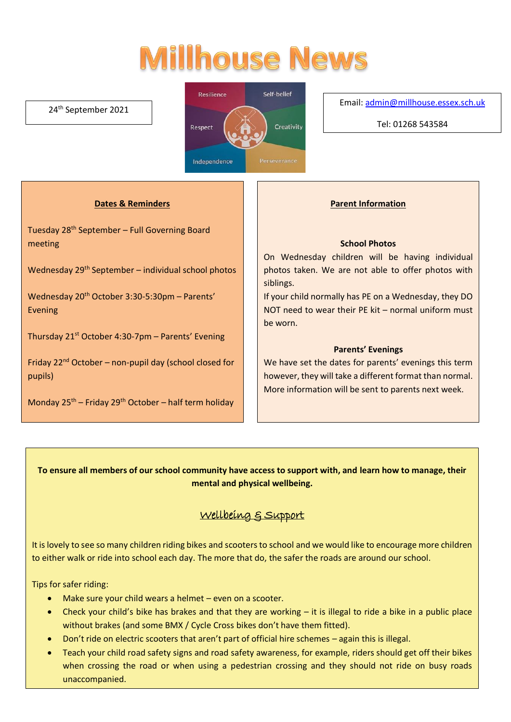# **Millhouse News**

### 24th September 2021



Email[: admin@millhouse.essex.sch.uk](mailto:admin@millhouse.essex.sch.uk)

Tel: 01268 543584

## **Dates & Reminders**

Tuesday 28th September – Full Governing Board meeting

Wednesday 29th September – individual school photos

Wednesday 20<sup>th</sup> October 3:30-5:30pm - Parents' Evening

Thursday  $21^{st}$  October 4:30-7pm – Parents' Evening

Friday  $22<sup>nd</sup>$  October – non-pupil day (school closed for pupils)

Monday  $25^{th}$  – Friday  $29^{th}$  October – half term holiday

### **Parent Information**

#### **School Photos**

On Wednesday children will be having individual photos taken. We are not able to offer photos with siblings.

If your child normally has PE on a Wednesday, they DO NOT need to wear their PE kit – normal uniform must be worn.

#### **Parents' Evenings**

We have set the dates for parents' evenings this term however, they will take a different format than normal. More information will be sent to parents next week.

## **To ensure all members of our school community have access to support with, and learn how to manage, their mental and physical wellbeing.**

# Wellbeing & Support

It is lovely to see so many children riding bikes and scooters to school and we would like to encourage more children to either walk or ride into school each day. The more that do, the safer the roads are around our school.

Tips for safer riding:

- Make sure your child wears a helmet even on a scooter.
- Check your child's bike has brakes and that they are working it is illegal to ride a bike in a public place without brakes (and some BMX / Cycle Cross bikes don't have them fitted).
- Don't ride on electric scooters that aren't part of official hire schemes again this is illegal.
- Teach your child road safety signs and road safety awareness, for example, riders should get off their bikes when crossing the road or when using a pedestrian crossing and they should not ride on busy roads unaccompanied.